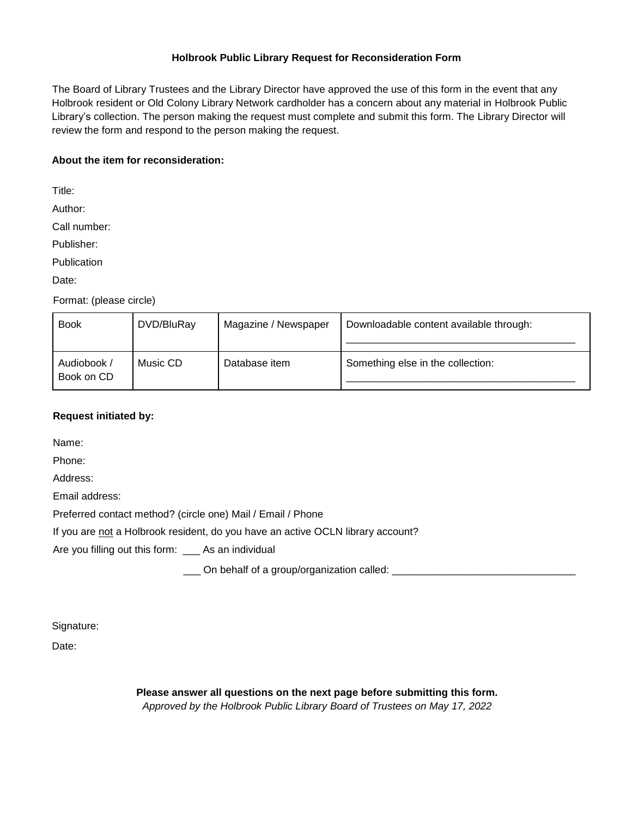## **Holbrook Public Library Request for Reconsideration Form**

The Board of Library Trustees and the Library Director have approved the use of this form in the event that any Holbrook resident or Old Colony Library Network cardholder has a concern about any material in Holbrook Public Library's collection. The person making the request must complete and submit this form. The Library Director will review the form and respond to the person making the request.

## **About the item for reconsideration:**

Title:

Author:

Call number:

Publisher:

**Publication** 

Date:

Format: (please circle)

| <b>Book</b>               | DVD/BluRay | Magazine / Newspaper | Downloadable content available through: |
|---------------------------|------------|----------------------|-----------------------------------------|
| Audiobook /<br>Book on CD | Music CD   | Database item        | Something else in the collection:       |

## **Request initiated by:**

Name:

Phone:

Address:

Email address:

Preferred contact method? (circle one) Mail / Email / Phone

If you are not a Holbrook resident, do you have an active OCLN library account?

Are you filling out this form: \_\_\_ As an individual

\_\_\_ On behalf of a group/organization called: \_\_\_\_\_\_\_\_\_\_\_\_\_\_\_\_\_\_\_\_\_\_\_\_\_\_\_\_\_\_\_\_\_\_

Signature:

Date:

**Please answer all questions on the next page before submitting this form.** *Approved by the Holbrook Public Library Board of Trustees on May 17, 2022*